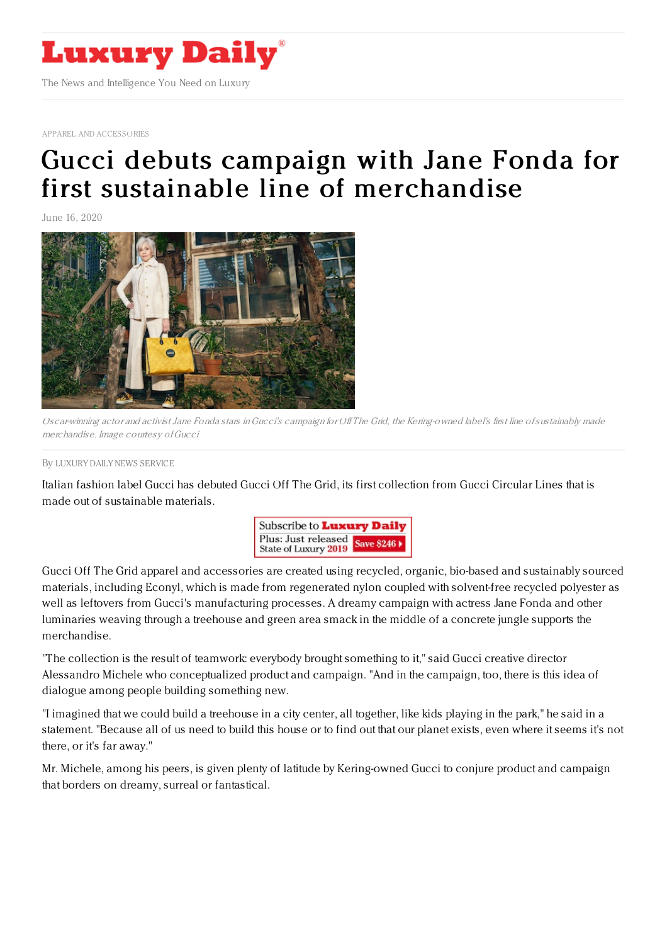

APPAREL AND [ACCESSORIES](https://www.luxurydaily.com/category/sectors/apparel-and-accessories/)

## Gucci debuts campaign with Jane Fonda for first sustainable line of [merchandise](https://www.luxurydaily.com/gucci-debuts-campaign-with-jane-fonda-for-first-sustainable-line-of-merchandise/)

June 16, 2020



Oscar-winning actor and activist Jane Fonda stars inGucci's campaign for Of The Grid, the Kering-owned label's first line ofsustainably made merchandise. Image courtesy ofGucci

By LUXURY DAILY NEWS [SERVICE](file:///author/luxury-daily-news-service)

Italian fashion label Gucci has debuted Gucci Off The Grid, its first collection from Gucci Circular Lines that is made out of sustainable materials.



Gucci Off The Grid apparel and accessories are created using recycled, organic, bio-based and sustainably sourced materials, including Econyl, which is made from regenerated nylon coupled with solvent-free recycled polyester as well as leftovers from Gucci's manufacturing processes. A dreamy campaign with actress Jane Fonda and other luminaries weaving through a treehouse and green area smack in the middle of a concrete jungle supports the merchandise.

"The collection is the result of teamwork: everybody brought something to it," said Gucci creative director Alessandro Michele who conceptualized product and campaign. "And in the campaign, too, there is this idea of dialogue among people building something new.

"I imagined that we could build a treehouse in a city center, all together, like kids playing in the park," he said in a statement. "Because all of us need to build this house or to find out that our planet exists, even where it seems it's not there, or it's far away."

Mr. Michele, among his peers, is given plenty of latitude by Kering-owned Gucci to conjure product and campaign that borders on dreamy, surreal or fantastical.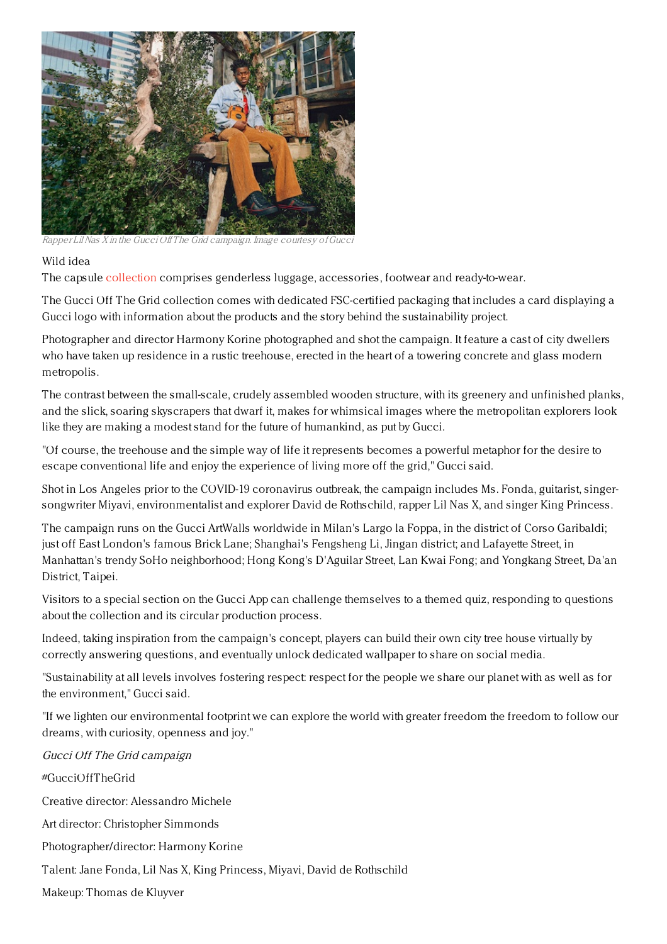

Rapper Lil Nas X in the Gucci Off The Grid campaign. Image courtesy of Gucci

## Wild idea

The capsule [collection](https://www.gucci.com/us/en/) comprises genderless luggage, accessories, footwear and ready-to-wear.

The Gucci Off The Grid collection comes with dedicated FSC-certified packaging that includes a card displaying a Gucci logo with information about the products and the story behind the sustainability project.

Photographer and director Harmony Korine photographed and shot the campaign. It feature a cast of city dwellers who have taken up residence in a rustic treehouse, erected in the heart of a towering concrete and glass modern metropolis.

The contrast between the small-scale, crudely assembled wooden structure, with its greenery and unfinished planks, and the slick, soaring skyscrapers that dwarf it, makes for whimsical images where the metropolitan explorers look like they are making a modest stand for the future of humankind, as put by Gucci.

"Of course, the treehouse and the simple way of life it represents becomes a powerful metaphor for the desire to escape conventional life and enjoy the experience of living more off the grid," Gucci said.

Shot in Los Angeles prior to the COVID-19 coronavirus outbreak, the campaign includes Ms. Fonda, guitarist, singersongwriter Miyavi, environmentalist and explorer David de Rothschild, rapper Lil Nas X, and singer King Princess.

The campaign runs on the Gucci ArtWalls worldwide in Milan's Largo la Foppa, in the district of Corso Garibaldi; just off East London's famous Brick Lane; Shanghai's Fengsheng Li, Jingan district; and Lafayette Street, in Manhattan's trendy SoHo neighborhood; Hong Kong's D'Aguilar Street, Lan Kwai Fong; and Yongkang Street, Da'an District, Taipei.

Visitors to a special section on the Gucci App can challenge themselves to a themed quiz, responding to questions about the collection and its circular production process.

Indeed, taking inspiration from the campaign's concept, players can build their own city tree house virtually by correctly answering questions, and eventually unlock dedicated wallpaper to share on social media.

"Sustainability at all levels involves fostering respect: respect for the people we share our planet with as well as for the environment," Gucci said.

"If we lighten our environmental footprint we can explore the world with greater freedom the freedom to follow our dreams, with curiosity, openness and joy."

Gucci Off The Grid campaign

#GucciOffTheGrid Creative director: Alessandro Michele Art director: Christopher Simmonds Photographer/director: Harmony Korine Talent: Jane Fonda, Lil Nas X, King Princess, Miyavi, David de Rothschild Makeup: Thomas de Kluyver